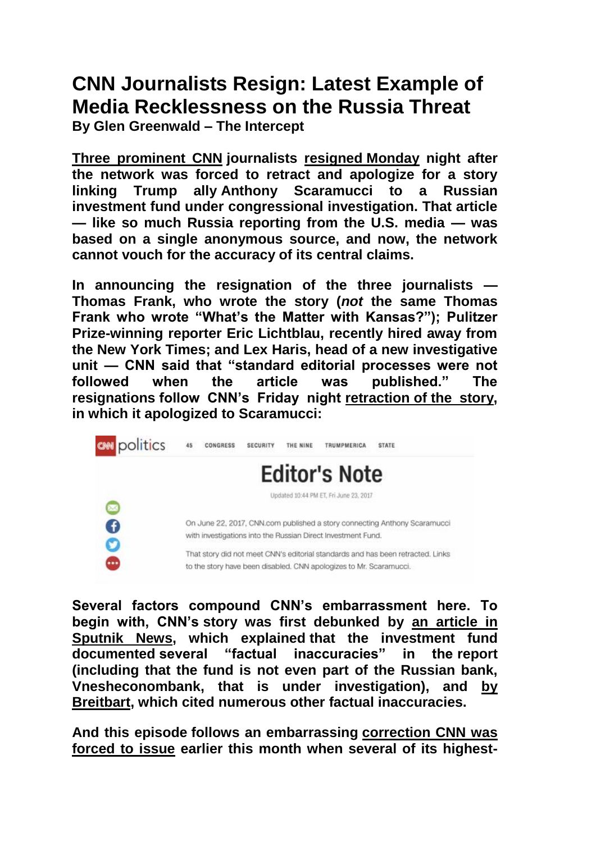## **[CNN Journalists Resign: Latest Example of](https://theintercept.com/2017/06/27/cnn-journalists-resign-latest-example-of-media-recklessness-on-the-russia-threat/)  [Media Recklessness on the Russia Threat](https://theintercept.com/2017/06/27/cnn-journalists-resign-latest-example-of-media-recklessness-on-the-russia-threat/)**

**By Glen Greenwald – The Intercept**

**Three prominent CNN journalists [resigned](http://money.cnn.com/2017/06/26/media/cnn-announcement-retracted-article/index.html) Monday night after the network was forced to retract and apologize for a story linking Trump ally Anthony Scaramucci to a Russian investment fund under congressional investigation. That article — like so much Russia reporting from the U.S. media — was based on a single anonymous source, and now, the network cannot vouch for the accuracy of its central claims.**

**In announcing the resignation of the three journalists — Thomas Frank, who wrote the story (***not* **the same Thomas**  Frank who wrote "What's the Matter with Kansas?"); Pulitzer **Prize-winning reporter Eric Lichtblau, recently hired away from the New York Times; and Lex Haris, head of a new investigative**  unit — CNN said that "standard editorial processes were not **followed when the article was published.‖ The resignations follow CNN's Friday night retraction of [the story,](http://www.cnn.com/2017/06/23/politics/editors-note/index.html) in which it apologized to Scaramucci:**



**Several factors compound CNN's embarrassment here. To begin with, CNN's story was first debunked by [an article in](https://sputniknews.com/business/201706231054913754-rdif-us-sanctions-cnn/)  [Sputnik News,](https://sputniknews.com/business/201706231054913754-rdif-us-sanctions-cnn/) which explained that the investment fund documented several ―factual inaccuracies‖ in the report (including that the fund is not even part of the Russian bank, Vnesheconombank, that is under investigation), and [by](http://www.breitbart.com/big-government/2017/06/23/very-fake-news-cnn-pushes-refurbished-russia-conspiracy-inaccurately-claims-investment-fund-under-investigation/)  [Breitbart,](http://www.breitbart.com/big-government/2017/06/23/very-fake-news-cnn-pushes-refurbished-russia-conspiracy-inaccurately-claims-investment-fund-under-investigation/) which cited numerous other factual inaccuracies.**

**And this episode follows an embarrassing [correction CNN was](http://thehill.com/blogs/blog-briefing-room/336871-cnn-issues-correction-after-comey-statement-contradicts-reporting?_=1497761173552)  [forced to issue](http://thehill.com/blogs/blog-briefing-room/336871-cnn-issues-correction-after-comey-statement-contradicts-reporting?_=1497761173552) earlier this month when several of its highest-**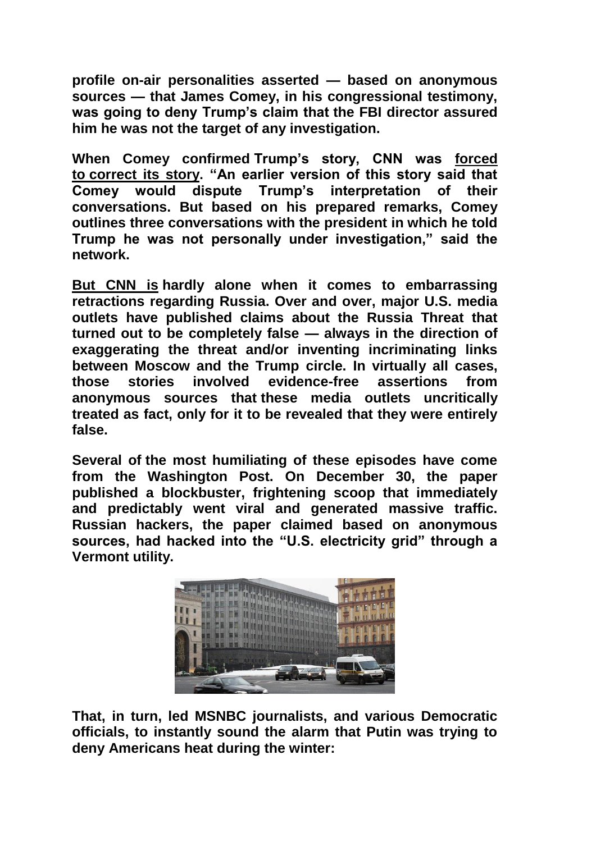**profile on-air personalities asserted — based on anonymous sources — that James Comey, in his congressional testimony, was going to deny Trump's claim that the FBI director assured him he was not the target of any investigation.**

**When Comey confirmed Trump's story, CNN was [forced](http://www.cnn.com/2017/06/06/politics/comey-testimony-refute-trump-russian-investigation/)**  to [correct its story.](http://www.cnn.com/2017/06/06/politics/comey-testimony-refute-trump-russian-investigation/) "An earlier version of this story said that **Comey would dispute Trump's interpretation of their conversations. But based on his prepared remarks, Comey outlines three conversations with the president in which he told Trump he was not personally under investigation,‖ said the network.**

**But CNN is hardly alone when it comes to embarrassing retractions regarding Russia. Over and over, major U.S. media outlets have published claims about the Russia Threat that turned out to be completely false — always in the direction of exaggerating the threat and/or inventing incriminating links between Moscow and the Trump circle. In virtually all cases, those stories involved evidence-free assertions from anonymous sources that these media outlets uncritically treated as fact, only for it to be revealed that they were entirely false.**

**Several of the most humiliating of these episodes have come from the Washington Post. On December 30, the paper published a blockbuster, frightening scoop that immediately and predictably went viral and generated massive traffic. Russian hackers, the paper claimed based on anonymous**  sources, had hacked into the "U.S. electricity grid" through a **Vermont utility.**



**That, in turn, led MSNBC journalists, and various Democratic officials, to instantly sound the alarm that Putin was trying to deny Americans heat during the winter:**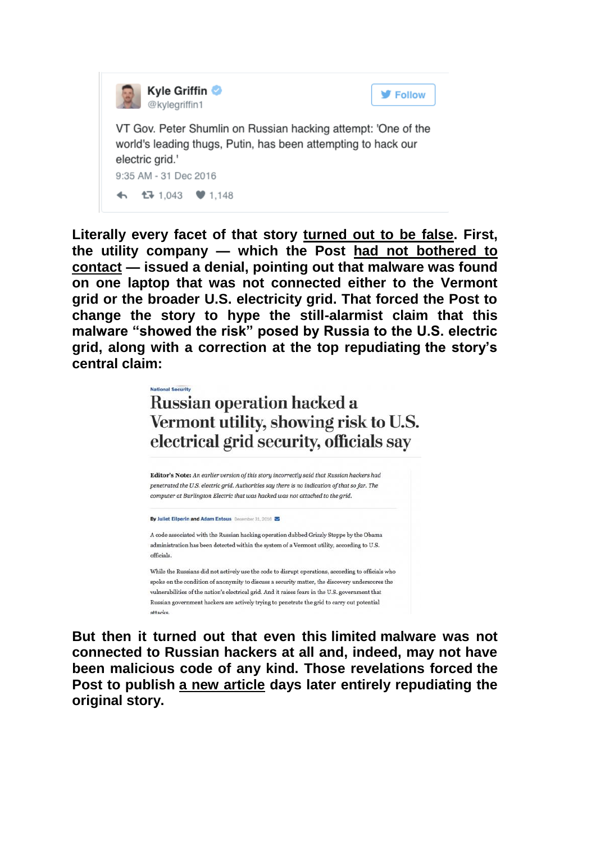

**Literally every facet of that story [turned out to be false.](https://theintercept.com/2016/12/31/russia-hysteria-infects-washpost-again-false-story-about-hacking-u-s-electric-grid/) First, the utility company — which the Post [had not bothered to](https://twitter.com/ericgeller/status/815029178563198976)  [contact](https://twitter.com/ericgeller/status/815029178563198976) — issued a denial, pointing out that malware was found on one laptop that was not connected either to the Vermont grid or the broader U.S. electricity grid. That forced the Post to change the story to hype the still-alarmist claim that this**  malware "showed the risk" posed by Russia to the U.S. electric **grid, along with a correction at the top repudiating the story's central claim:**

> **National Security Russian operation hacked a** Vermont utility, showing risk to U.S. electrical grid security, officials say

Editor's Note: An earlier version of this story incorrectly said that Russian hackers had penetrated the U.S. electric grid. Authorities say there is no indication of that so far. The computer at Burlington Electric that was hacked was not attached to the arid.

**By Juliet Eilperin and Adam Entous** December 31, 2016

A code associated with the Russian hacking operation dubbed Grizzly Steppe by the Obama administration has been detected within the system of a Vermont utility, according to U.S. officials

While the Russians did not actively use the code to disrupt operations, according to officials who spoke on the condition of anonymity to discuss a security matter, the discovery underscores the vulnerabilities of the nation's electrical grid. And it raises fears in the U.S. government that Russian government hackers are actively trying to penetrate the grid to carry out potential attacks

**But then it turned out that even this limited malware was not connected to Russian hackers at all and, indeed, may not have been malicious code of any kind. Those revelations forced the Post to publish [a new article](https://www.washingtonpost.com/world/national-security/russian-government-hackers-do-not-appear-to-have-targeted-vermont-utility-say-people-close-to-investigation/2017/01/02/70c25956-d12c-11e6-945a-76f69a399dd5_story.html?utm_term=.4ff91ac77380) days later entirely repudiating the original story.**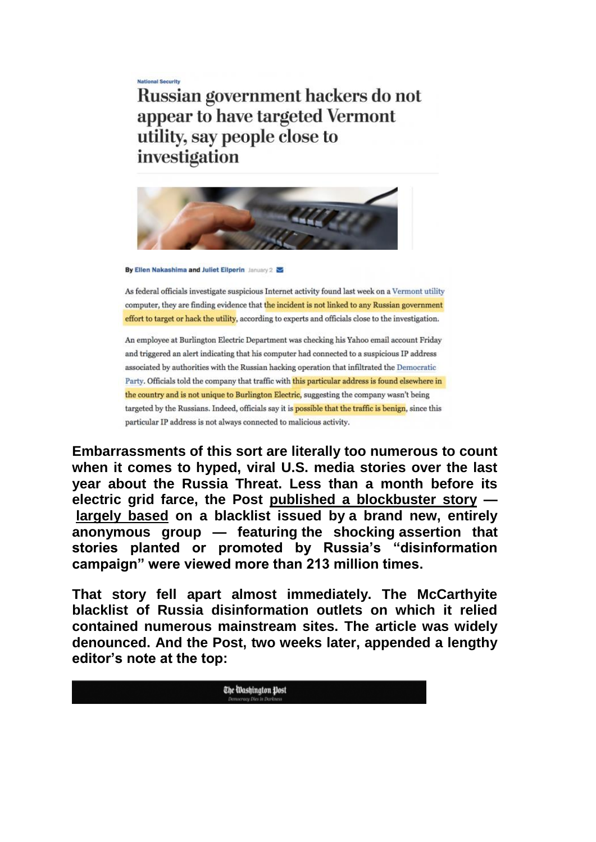**National Security** Russian government hackers do not appear to have targeted Vermont utility, say people close to investigation



By Ellen Nakashima and Juliet Eilperin January 2

As federal officials investigate suspicious Internet activity found last week on a Vermont utility computer, they are finding evidence that the incident is not linked to any Russian government effort to target or hack the utility, according to experts and officials close to the investigation.

An employee at Burlington Electric Department was checking his Yahoo email account Friday and triggered an alert indicating that his computer had connected to a suspicious IP address associated by authorities with the Russian hacking operation that infiltrated the Democratic Party. Officials told the company that traffic with this particular address is found elsewhere in the country and is not unique to Burlington Electric, suggesting the company wasn't being targeted by the Russians. Indeed, officials say it is possible that the traffic is benign, since this particular IP address is not always connected to malicious activity.

**Embarrassments of this sort are literally too numerous to count when it comes to hyped, viral U.S. media stories over the last year about the Russia Threat. Less than a month before its electric grid farce, the Post [published a blockbuster story](https://www.washingtonpost.com/business/economy/russian-propaganda-effort-helped-spread-fake-news-during-election-experts-say/2016/11/24/793903b6-8a40-4ca9-b712-716af66098fe_story.html) [largely based](https://theintercept.com/2016/11/26/washington-post-disgracefully-promotes-a-mccarthyite-blacklist-from-a-new-hidden-and-very-shady-group/) on a blacklist issued by a brand new, entirely anonymous group — featuring the shocking assertion that**  stories planted or promoted by Russia's "disinformation **campaign‖ were viewed more than 213 million times.**

**That story fell apart almost immediately. The McCarthyite blacklist of Russia disinformation outlets on which it relied contained numerous mainstream sites. The article was widely denounced. And the Post, two weeks later, appended a lengthy editor's note at the top:**

The Washington Post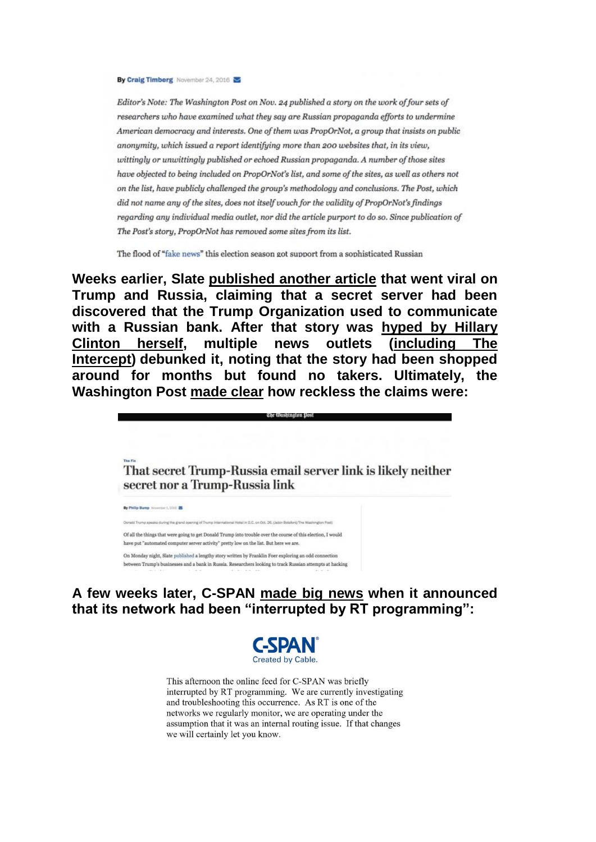By Craig Timberg November 24, 2016

Editor's Note: The Washington Post on Nov. 24 published a story on the work of four sets of researchers who have examined what they say are Russian propaganda efforts to undermine American democracy and interests. One of them was PropOrNot, a group that insists on public anonymity, which issued a report identifying more than 200 websites that, in its view, wittingly or unwittingly published or echoed Russian propaganda. A number of those sites have objected to being included on PropOrNot's list, and some of the sites, as well as others not on the list, have publicly challenged the group's methodology and conclusions. The Post, which did not name any of the sites, does not itself vouch for the validity of PropOrNot's findings regarding any individual media outlet, nor did the article purport to do so. Since publication of The Post's story, PropOrNot has removed some sites from its list.

The flood of "fake news" this election season got support from a sophisticated Russian

**Weeks earlier, Slate [published another article](http://www.slate.com/articles/news_and_politics/cover_story/2016/10/was_a_server_registered_to_the_trump_organization_communicating_with_russia.html) that went viral on Trump and Russia, claiming that a secret server had been discovered that the Trump Organization used to communicate with a Russian bank. After that story was [hyped by Hillary](https://twitter.com/HillaryClinton/status/793250312119263233)  [Clinton herself,](https://twitter.com/HillaryClinton/status/793250312119263233) multiple news outlets [\(including The](https://theintercept.com/2016/11/01/heres-the-problem-with-the-story-connecting-russia-to-donald-trumps-email-server/)  [Intercept\)](https://theintercept.com/2016/11/01/heres-the-problem-with-the-story-connecting-russia-to-donald-trumps-email-server/) debunked it, noting that the story had been shopped around for months but found no takers. Ultimately, the Washington Post [made clear](https://www.washingtonpost.com/news/the-fix/wp/2016/11/01/that-secret-trump-russia-email-server-link-is-likely-neither-secret-nor-a-trump-russia-link/?utm_term=.0d6dc14257ad) how reckless the claims were:**

The Washington Pos

That secret Trump-Russia email server link is likely neither secret nor a Trump-Russia link

| By Philip Bump Neverther 1, 2010 25                                                                                                                                                                                |
|--------------------------------------------------------------------------------------------------------------------------------------------------------------------------------------------------------------------|
| Donald Trump aposic during the grand opening of Trump International Hetal in D.C. on Oct. 26: (Jabio Botaford/The Washington Post)<br>[2] A Project A Policy Advertiser And A POST 10 570 000 2000 2000 10 000 000 |
| Of all the things that were going to get Donald Trump into trouble over the course of this election, I would                                                                                                       |
| have put "automated computer server activity" pretty low on the list. But here we are.                                                                                                                             |
| On Monday night, Slate published a lengthy story written by Franklin Foer exploring an odd connection                                                                                                              |
| between Trump's businesses and a bank in Russia. Researchers looking to track Russian attempts at hacking                                                                                                          |

**A few weeks later, C-SPAN [made big news](https://twitter.com/cspan/status/819652454237278208) when it announced**  that its network had been "interrupted by RT programming":



This afternoon the online feed for C-SPAN was briefly interrupted by RT programming. We are currently investigating and troubleshooting this occurrence. As RT is one of the networks we regularly monitor, we are operating under the assumption that it was an internal routing issue. If that changes we will certainly let you know.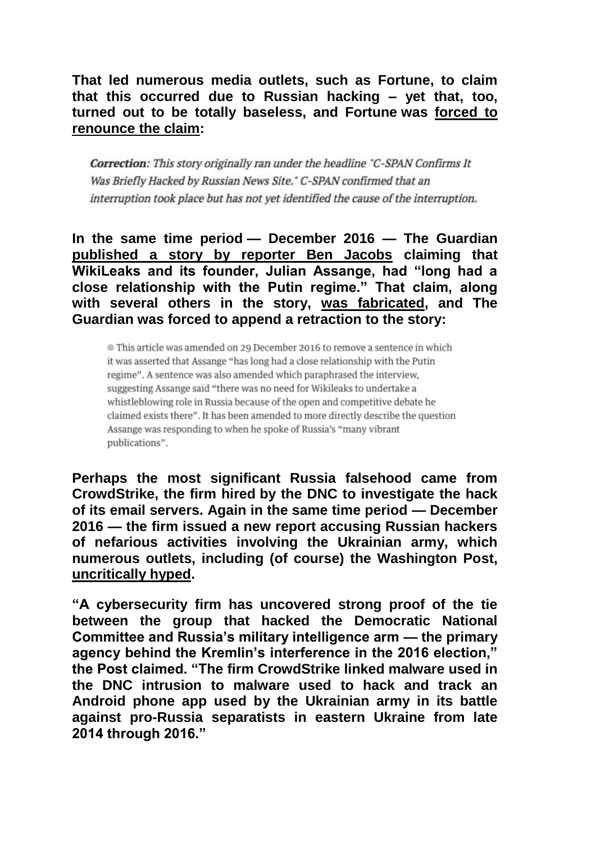**That led numerous media outlets, such as Fortune, to claim that this occurred due to Russian hacking – yet that, too, turned out to be totally baseless, and Fortune was [forced to](http://fortune.com/2017/01/12/cspan-rt-interruption/)  [renounce the claim:](http://fortune.com/2017/01/12/cspan-rt-interruption/)**

Correction: This story originally ran under the headline "C-SPAN Confirms It Was Briefly Hacked by Russian News Site." C-SPAN confirmed that an interruption took place but has not yet identified the cause of the interruption.

**In the same time period — December 2016 — The Guardian [published a story by reporter Ben Jacobs](https://www.theguardian.com/media/2016/dec/24/julian-assange-donald-trump-hillary-clinton-interview) claiming that**  WikiLeaks and its founder, Julian Assange, had "long had a **close relationship with the Putin regime.‖ That claim, along with several others in the story, [was fabricated,](https://theintercept.com/2016/12/29/the-guardians-summary-of-julian-assanges-interview-went-viral-and-was-completely-false/) and The Guardian was forced to append a retraction to the story:**

This article was amended on 29 December 2016 to remove a sentence in which it was asserted that Assange "has long had a close relationship with the Putin regime". A sentence was also amended which paraphrased the interview, suggesting Assange said "there was no need for Wikileaks to undertake a whistleblowing role in Russia because of the open and competitive debate he claimed exists there". It has been amended to more directly describe the question Assange was responding to when he spoke of Russia's "many vibrant publications".

**Perhaps the most significant Russia falsehood came from CrowdStrike, the firm hired by the DNC to investigate the hack of its email servers. Again in the same time period — December 2016 — the firm issued a new report accusing Russian hackers of nefarious activities involving the Ukrainian army, which numerous outlets, including (of course) the Washington Post, [uncritically hyped.](https://www.washingtonpost.com/world/national-security/cybersecurity-firm-finds-a-link-between-dnc-hack-and-ukrainian-artillery/2016/12/21/47bf1f5a-c7e3-11e6-bf4b-2c064d32a4bf_story.html?utm_term=.9cd7fe2d2f70)**

**―A cybersecurity firm has uncovered strong proof of the tie between the group that hacked the Democratic National Committee and Russia's military intelligence arm — the primary**  agency behind the Kremlin's interference in the 2016 election." **the Post claimed. ―The firm CrowdStrike linked malware used in the DNC intrusion to malware used to hack and track an Android phone app used by the Ukrainian army in its battle against pro-Russia separatists in eastern Ukraine from late 2014 through 2016.‖**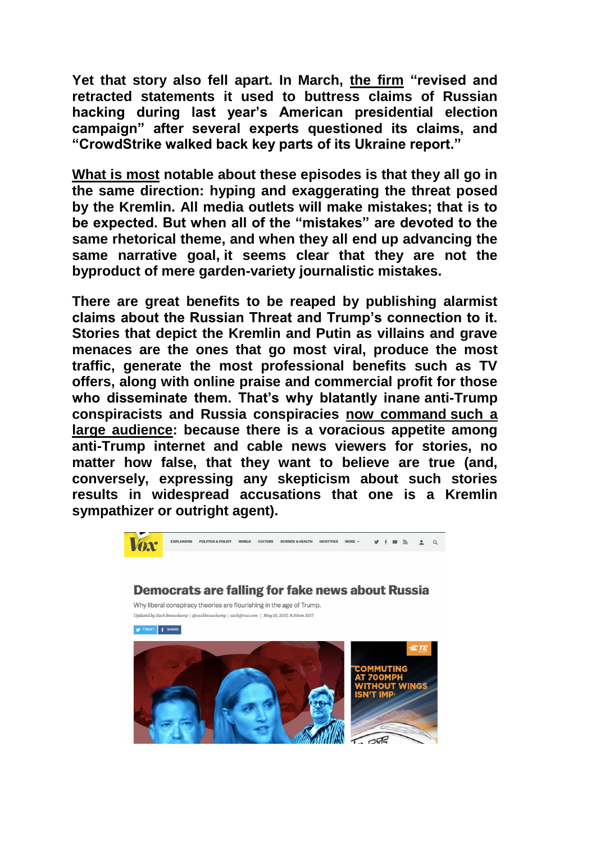**Yet that story also fell apart. In March, [the firm](https://www.voanews.com/a/cyber-firm-rewrites-part-disputed-russian-hacking-report/3781411.html) "revised and**  $\blacksquare$ **retracted statements it used to buttress claims of Russian hacking during last year's American presidential election campaign‖ after several experts questioned its claims, and ―CrowdStrike walked back key parts of its Ukraine report.‖**

**What is most notable about these episodes is that they all go in the same direction: hyping and exaggerating the threat posed by the Kremlin. All media outlets will make mistakes; that is to**  be expected. But when all of the "mistakes" are devoted to the **same rhetorical theme, and when they all end up advancing the same narrative goal, it seems clear that they are not the byproduct of mere garden-variety journalistic mistakes.**

**There are great benefits to be reaped by publishing alarmist claims about the Russian Threat and Trump's connection to it. Stories that depict the Kremlin and Putin as villains and grave menaces are the ones that go most viral, produce the most traffic, generate the most professional benefits such as TV offers, along with online praise and commercial profit for those who disseminate them. That's why blatantly inane anti-Trump conspiracists and Russia conspiracies [now command](https://www.vox.com/world/2017/5/19/15561842/trump-russia-louise-mensch) such a [large audience:](https://www.vox.com/world/2017/5/19/15561842/trump-russia-louise-mensch) because there is a voracious appetite among anti-Trump internet and cable news viewers for stories, no matter how false, that they want to believe are true (and, conversely, expressing any skepticism about such stories results in widespread accusations that one is a Kremlin sympathizer or outright agent).**

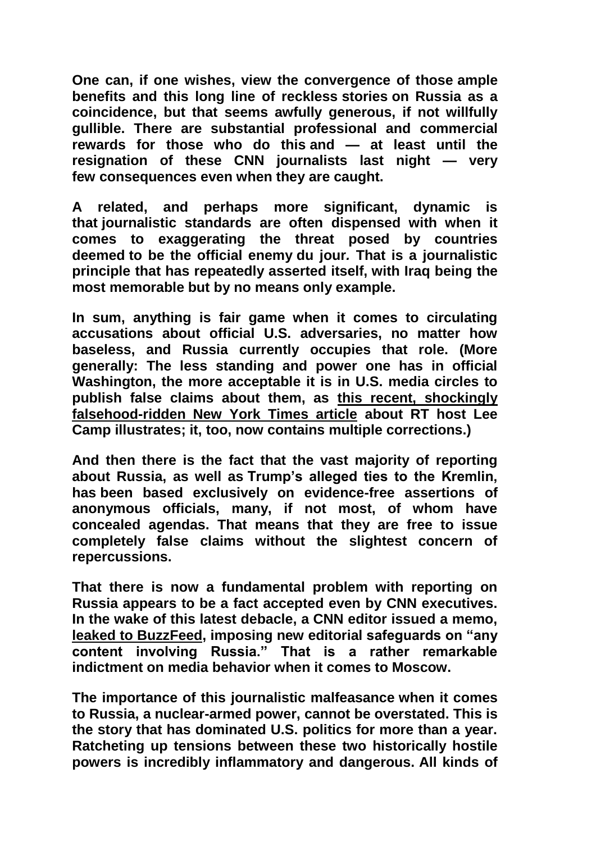**One can, if one wishes, view the convergence of those ample benefits and this long line of reckless stories on Russia as a coincidence, but that seems awfully generous, if not willfully gullible. There are substantial professional and commercial rewards for those who do this and — at least until the resignation of these CNN journalists last night — very few consequences even when they are caught.**

**A related, and perhaps more significant, dynamic is that journalistic standards are often dispensed with when it comes to exaggerating the threat posed by countries deemed to be the official enemy du jour***.* **That is a journalistic principle that has repeatedly asserted itself, with Iraq being the most memorable but by no means only example.**

**In sum, anything is fair game when it comes to circulating accusations about official U.S. adversaries, no matter how baseless, and Russia currently occupies that role. (More generally: The less standing and power one has in official Washington, the more acceptable it is in U.S. media circles to publish false claims about them, as [this recent, shockingly](http://www.nakedcapitalism.com/2017/06/lee-camp-write-propaganda-ny-times-demonstrated-article.html)  [falsehood-ridden New York Times article](http://www.nakedcapitalism.com/2017/06/lee-camp-write-propaganda-ny-times-demonstrated-article.html) about RT host Lee Camp illustrates; it, too, now contains multiple corrections.)**

**And then there is the fact that the vast majority of reporting about Russia, as well as Trump's alleged ties to the Kremlin, has been based exclusively on evidence-free assertions of anonymous officials, many, if not most, of whom have concealed agendas. That means that they are free to issue completely false claims without the slightest concern of repercussions.**

**That there is now a fundamental problem with reporting on Russia appears to be a fact accepted even by CNN executives. In the wake of this latest debacle, a CNN editor issued a memo,**  [leaked to BuzzFeed,](https://www.buzzfeed.com/passantino/cnn-russia-coverage-publishing-restrictions?utm_term=.ehBwmAvgl#.abmeo0W8O) imposing new editorial safeguards on "any **content involving Russia.‖ That is a rather remarkable indictment on media behavior when it comes to Moscow.**

**The importance of this journalistic malfeasance when it comes to Russia, a nuclear-armed power, cannot be overstated. This is the story that has dominated U.S. politics for more than a year. Ratcheting up tensions between these two historically hostile powers is incredibly inflammatory and dangerous. All kinds of**